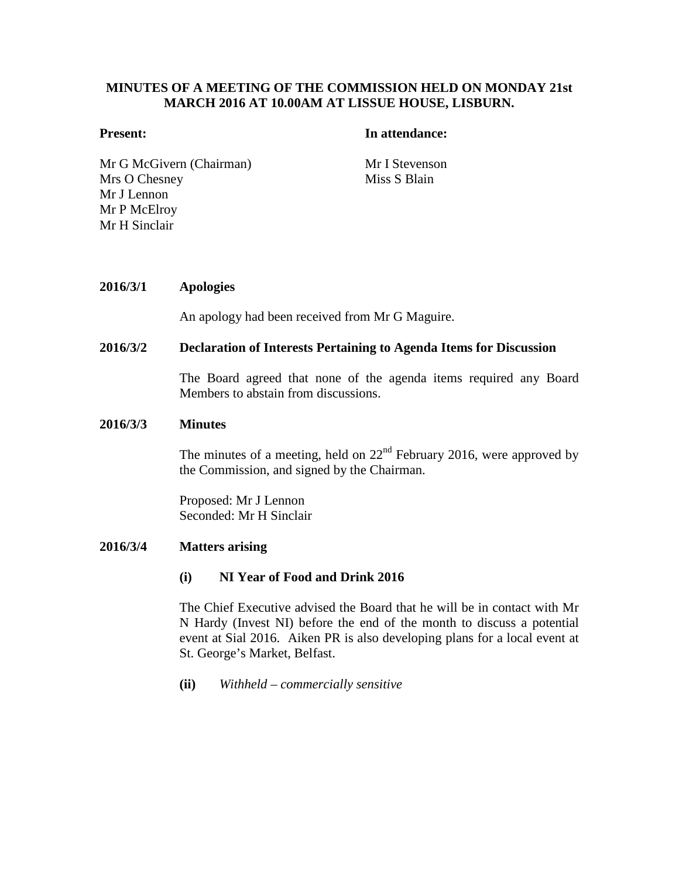# **MINUTES OF A MEETING OF THE COMMISSION HELD ON MONDAY 21st MARCH 2016 AT 10.00AM AT LISSUE HOUSE, LISBURN.**

#### **Present: In attendance:**

Mr G McGivern (Chairman) Mr I Stevenson Mrs O Chesney Mr J Lennon Mr P McElroy Mr H Sinclair

Miss S Blain

# **2016/3/1 Apologies**

An apology had been received from Mr G Maguire.

#### **2016/3/2 Declaration of Interests Pertaining to Agenda Items for Discussion**

The Board agreed that none of the agenda items required any Board Members to abstain from discussions.

#### **2016/3/3 Minutes**

The minutes of a meeting, held on  $22<sup>nd</sup>$  February 2016, were approved by the Commission, and signed by the Chairman.

Proposed: Mr J Lennon Seconded: Mr H Sinclair

#### **2016/3/4 Matters arising**

#### **(i) NI Year of Food and Drink 2016**

The Chief Executive advised the Board that he will be in contact with Mr N Hardy (Invest NI) before the end of the month to discuss a potential event at Sial 2016. Aiken PR is also developing plans for a local event at St. George's Market, Belfast.

**(ii)** *Withheld – commercially sensitive*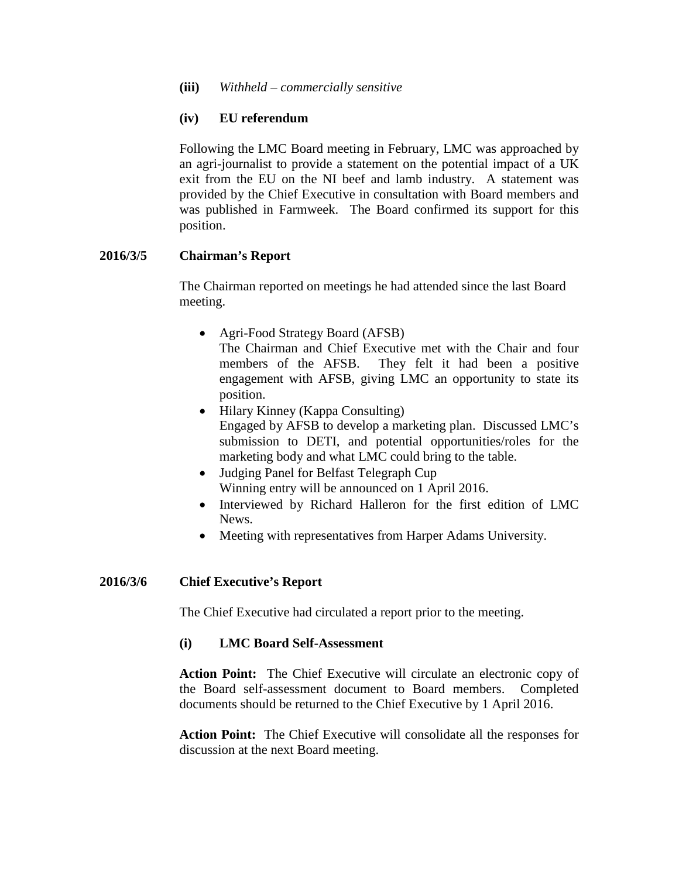# **(iv) EU referendum**

Following the LMC Board meeting in February, LMC was approached by an agri-journalist to provide a statement on the potential impact of a UK exit from the EU on the NI beef and lamb industry. A statement was provided by the Chief Executive in consultation with Board members and was published in Farmweek. The Board confirmed its support for this position.

# **2016/3/5 Chairman's Report**

The Chairman reported on meetings he had attended since the last Board meeting.

- Agri-Food Strategy Board (AFSB) The Chairman and Chief Executive met with the Chair and four members of the AFSB. They felt it had been a positive engagement with AFSB, giving LMC an opportunity to state its
- position. • Hilary Kinney (Kappa Consulting) Engaged by AFSB to develop a marketing plan. Discussed LMC's submission to DETI, and potential opportunities/roles for the marketing body and what LMC could bring to the table.
- Judging Panel for Belfast Telegraph Cup Winning entry will be announced on 1 April 2016.
- Interviewed by Richard Halleron for the first edition of LMC News.
- Meeting with representatives from Harper Adams University.

## **2016/3/6 Chief Executive's Report**

The Chief Executive had circulated a report prior to the meeting.

## **(i) LMC Board Self-Assessment**

**Action Point:** The Chief Executive will circulate an electronic copy of the Board self-assessment document to Board members. Completed documents should be returned to the Chief Executive by 1 April 2016.

**Action Point:** The Chief Executive will consolidate all the responses for discussion at the next Board meeting.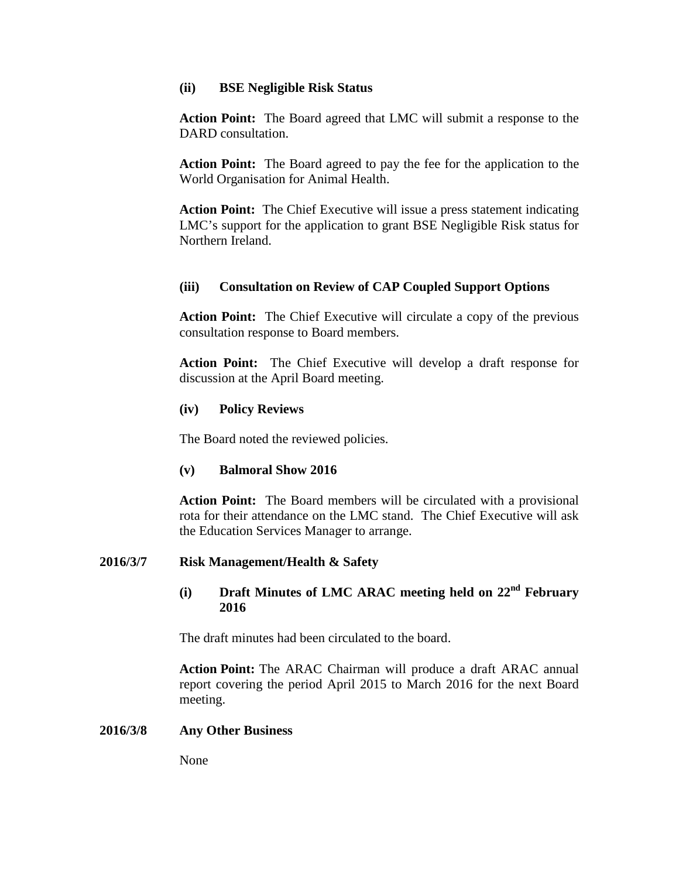#### **(ii) BSE Negligible Risk Status**

**Action Point:** The Board agreed that LMC will submit a response to the DARD consultation.

**Action Point:** The Board agreed to pay the fee for the application to the World Organisation for Animal Health.

**Action Point:** The Chief Executive will issue a press statement indicating LMC's support for the application to grant BSE Negligible Risk status for Northern Ireland.

## **(iii) Consultation on Review of CAP Coupled Support Options**

**Action Point:** The Chief Executive will circulate a copy of the previous consultation response to Board members.

**Action Point:** The Chief Executive will develop a draft response for discussion at the April Board meeting.

## **(iv) Policy Reviews**

The Board noted the reviewed policies.

## **(v) Balmoral Show 2016**

**Action Point:** The Board members will be circulated with a provisional rota for their attendance on the LMC stand. The Chief Executive will ask the Education Services Manager to arrange.

## **2016/3/7 Risk Management/Health & Safety**

## **(i) Draft Minutes of LMC ARAC meeting held on 22nd February 2016**

The draft minutes had been circulated to the board.

**Action Point:** The ARAC Chairman will produce a draft ARAC annual report covering the period April 2015 to March 2016 for the next Board meeting.

#### **2016/3/8 Any Other Business**

None